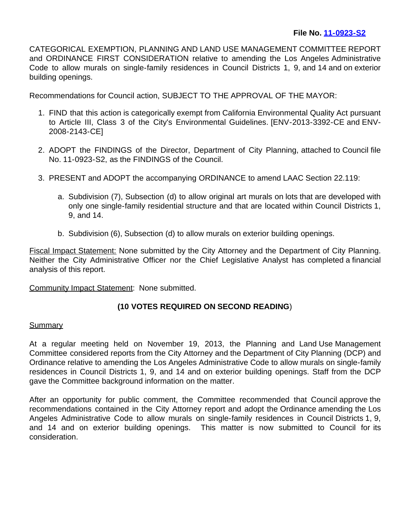CATEGORICAL EXEMPTION, PLANNING AND LAND USE MANAGEMENT COMMITTEE REPORT and ORDINANCE FIRST CONSIDERATION relative to amending the Los Angeles Administrative Code to allow murals on single-family residences in Council Districts 1, 9, and 14 and on exterior building openings.

Recommendations for Council action, SUBJECT TO THE APPROVAL OF THE MAYOR:

- 1. FIND that this action is categorically exempt from California Environmental Quality Act pursuant to Article III, Class 3 of the City's Environmental Guidelines. [ENV-2013-3392-CE and ENV-2008-2143-CE]
- 2. ADOPT the FINDINGS of the Director, Department of City Planning, attached to Council file No. 11-0923-S2, as the FINDINGS of the Council.
- 3. PRESENT and ADOPT the accompanying ORDINANCE to amend LAAC Section 22.119:
	- a. Subdivision (7), Subsection (d) to allow original art murals on lots that are developed with only one single-family residential structure and that are located within Council Districts 1, 9, and 14.
	- b. Subdivision (6), Subsection (d) to allow murals on exterior building openings.

Fiscal Impact Statement: None submitted by the City Attorney and the Department of City Planning. Neither the City Administrative Officer nor the Chief Legislative Analyst has completed a financial analysis of this report.

Community Impact Statement: None submitted.

## **(10 VOTES REQUIRED ON SECOND READING**)

## **Summary**

At a regular meeting held on November 19, 2013, the Planning and Land Use Management Committee considered reports from the City Attorney and the Department of City Planning (DCP) and Ordinance relative to amending the Los Angeles Administrative Code to allow murals on single-family residences in Council Districts 1, 9, and 14 and on exterior building openings. Staff from the DCP gave the Committee background information on the matter.

After an opportunity for public comment, the Committee recommended that Council approve the recommendations contained in the City Attorney report and adopt the Ordinance amending the Los Angeles Administrative Code to allow murals on single-family residences in Council Districts 1, 9, and 14 and on exterior building openings. This matter is now submitted to Council for its consideration.